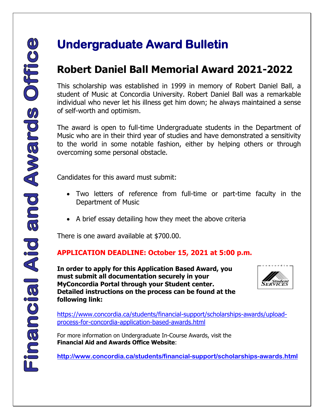## **Undergraduate Award Bulletin**

### **Robert Daniel Ball Memorial Award 2021-2022**

This scholarship was established in 1999 in memory of Robert Daniel Ball, a student of Music at Concordia University. Robert Daniel Ball was a remarkable individual who never let his illness get him down; he always maintained a sense of self-worth and optimism.

The award is open to full-time Undergraduate students in the Department of Music who are in their third year of studies and have demonstrated a sensitivity to the world in some notable fashion, either by helping others or through overcoming some personal obstacle. **CONSERVANT DEATER CONSERVANT DEATER CONSERVANT CONSERVANT CONSERVANT CONSERVANT CONSERVANT CONSERVANT CONSERVANT CONSERVANT CONSERVANT CONSERVANT CONSERVANT CONSERVANT CONSERVANT CONSERVANT CONSERVANT CONSERVANT CONSERVAN** 

Candidates for this award must submit:

- Two letters of reference from full-time or part-time faculty in the Department of Music
- A brief essay detailing how they meet the above criteria

There is one award available at \$700.00.

#### **APPLICATION DEADLINE: October 15, 2021 at 5:00 p.m.**

**In order to apply for this Application Based Award, you must submit all documentation securely in your MyConcordia Portal through your Student center. Detailed instructions on the process can be found at the following link:**



[https://www.concordia.ca/students/financial-support/scholarships-awards/upload](https://www.concordia.ca/students/financial-support/scholarships-awards/upload-process-for-concordia-application-based-awards.html)[process-for-concordia-application-based-awards.html](https://www.concordia.ca/students/financial-support/scholarships-awards/upload-process-for-concordia-application-based-awards.html)

For more information on Undergraduate In-Course Awards, visit the **Financial Aid and Awards Office Website**: